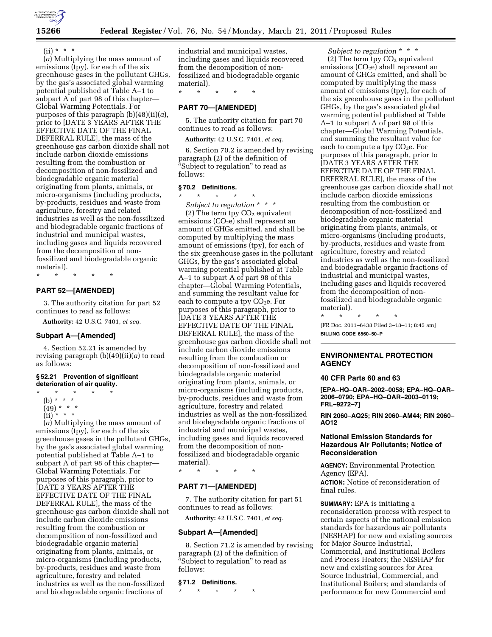

# $(ii) * * * *$

(*a*) Multiplying the mass amount of emissions (tpy), for each of the six greenhouse gases in the pollutant GHGs, by the gas's associated global warming potential published at Table A–1 to subpart A of part 98 of this chapter— Global Warming Potentials. For purposes of this paragraph (b)(48)(ii)(*a*), prior to [DATE 3 YEARS AFTER THE EFFECTIVE DATE OF THE FINAL DEFERRAL RULE], the mass of the greenhouse gas carbon dioxide shall not include carbon dioxide emissions resulting from the combustion or decomposition of non-fossilized and biodegradable organic material originating from plants, animals, or micro-organisms (including products, by-products, residues and waste from agriculture, forestry and related industries as well as the non-fossilized and biodegradable organic fractions of industrial and municipal wastes, including gases and liquids recovered from the decomposition of nonfossilized and biodegradable organic material).

\* \* \* \* \*

# **PART 52—[AMENDED]**

3. The authority citation for part 52 continues to read as follows:

**Authority:** 42 U.S.C. 7401, *et seq.* 

#### **Subpart A—[Amended]**

4. Section 52.21 is amended by revising paragraph (b)(49)(ii)(*a*) to read as follows:

#### **§ 52.21 Prevention of significant deterioration of air quality.**

- \* \* \* \* \*
	- (b) \* \* \*
	- $(49) * * * *$  $(iii)$  \* \* \*

(*a*) Multiplying the mass amount of emissions (tpy), for each of the six greenhouse gases in the pollutant GHGs, by the gas's associated global warming potential published at Table A–1 to subpart A of part 98 of this chapter— Global Warming Potentials. For purposes of this paragraph, prior to [DATE 3 YEARS AFTER THE EFFECTIVE DATE OF THE FINAL DEFERRAL RULE], the mass of the greenhouse gas carbon dioxide shall not include carbon dioxide emissions resulting from the combustion or decomposition of non-fossilized and biodegradable organic material originating from plants, animals, or micro-organisms (including products, by-products, residues and waste from agriculture, forestry and related industries as well as the non-fossilized and biodegradable organic fractions of

industrial and municipal wastes, including gases and liquids recovered from the decomposition of nonfossilized and biodegradable organic material).

\* \* \* \* \*

## **PART 70—[AMENDED]**

5. The authority citation for part 70 continues to read as follows:

**Authority:** 42 U.S.C. 7401, *et seq.* 

6. Section 70.2 is amended by revising paragraph (2) of the definition of ''Subject to regulation'' to read as follows:

#### **§ 70.2 Definitions.**

\* \* \* \* \* *Subject to regulation* \* \* \* (2) The term tpy  $CO<sub>2</sub>$  equivalent emissions  $(CO<sub>2</sub>e)$  shall represent an amount of GHGs emitted, and shall be computed by multiplying the mass amount of emissions (tpy), for each of the six greenhouse gases in the pollutant GHGs, by the gas's associated global warming potential published at Table A–1 to subpart A of part 98 of this chapter—Global Warming Potentials, and summing the resultant value for each to compute a tpy  $CO<sub>2</sub>e$ . For purposes of this paragraph, prior to [DATE 3 YEARS AFTER THE EFFECTIVE DATE OF THE FINAL DEFERRAL RULE], the mass of the greenhouse gas carbon dioxide shall not include carbon dioxide emissions resulting from the combustion or decomposition of non-fossilized and biodegradable organic material originating from plants, animals, or micro-organisms (including products, by-products, residues and waste from agriculture, forestry and related industries as well as the non-fossilized and biodegradable organic fractions of industrial and municipal wastes, including gases and liquids recovered from the decomposition of nonfossilized and biodegradable organic material).

\* \* \* \* \*

# **PART 71—[AMENDED]**

7. The authority citation for part 51 continues to read as follows:

**Authority:** 42 U.S.C. 7401, *et seq.* 

#### **Subpart A—[Amended]**

8. Section 71.2 is amended by revising paragraph (2) of the definition of ''Subject to regulation'' to read as follows:

## **§ 71.2 Definitions.**

\* \* \* \* \*

*Subject to regulation* \* \* \*

(2) The term tpy  $CO<sub>2</sub>$  equivalent emissions  $(CO<sub>2</sub>e)$  shall represent an amount of GHGs emitted, and shall be computed by multiplying the mass amount of emissions (tpy), for each of the six greenhouse gases in the pollutant GHGs, by the gas's associated global warming potential published at Table A–1 to subpart A of part 98 of this chapter—Global Warming Potentials, and summing the resultant value for each to compute a tpy  $CO<sub>2</sub>e$ . For purposes of this paragraph, prior to [DATE 3 YEARS AFTER THE EFFECTIVE DATE OF THE FINAL DEFERRAL RULE], the mass of the greenhouse gas carbon dioxide shall not include carbon dioxide emissions resulting from the combustion or decomposition of non-fossilized and biodegradable organic material originating from plants, animals, or micro-organisms (including products, by-products, residues and waste from agriculture, forestry and related industries as well as the non-fossilized and biodegradable organic fractions of industrial and municipal wastes, including gases and liquids recovered from the decomposition of nonfossilized and biodegradable organic material).

\* \* \* \* \* [FR Doc. 2011–6438 Filed 3–18–11; 8:45 am]

**BILLING CODE 6560–50–P** 

## **ENVIRONMENTAL PROTECTION AGENCY**

### **40 CFR Parts 60 and 63**

**[EPA–HQ–OAR–2002–0058; EPA–HQ–OAR– 2006–0790; EPA–HQ–OAR–2003–0119; FRL–9272–7]** 

**RIN 2060–AQ25; RIN 2060–AM44; RIN 2060– AO12** 

## **National Emission Standards for Hazardous Air Pollutants; Notice of Reconsideration**

**AGENCY:** Environmental Protection Agency (EPA).

**ACTION:** Notice of reconsideration of final rules.

**SUMMARY:** EPA is initiating a reconsideration process with respect to certain aspects of the national emission standards for hazardous air pollutants (NESHAP) for new and existing sources for Major Source Industrial, Commercial, and Institutional Boilers and Process Heaters; the NESHAP for new and existing sources for Area Source Industrial, Commercial, and Institutional Boilers; and standards of performance for new Commercial and